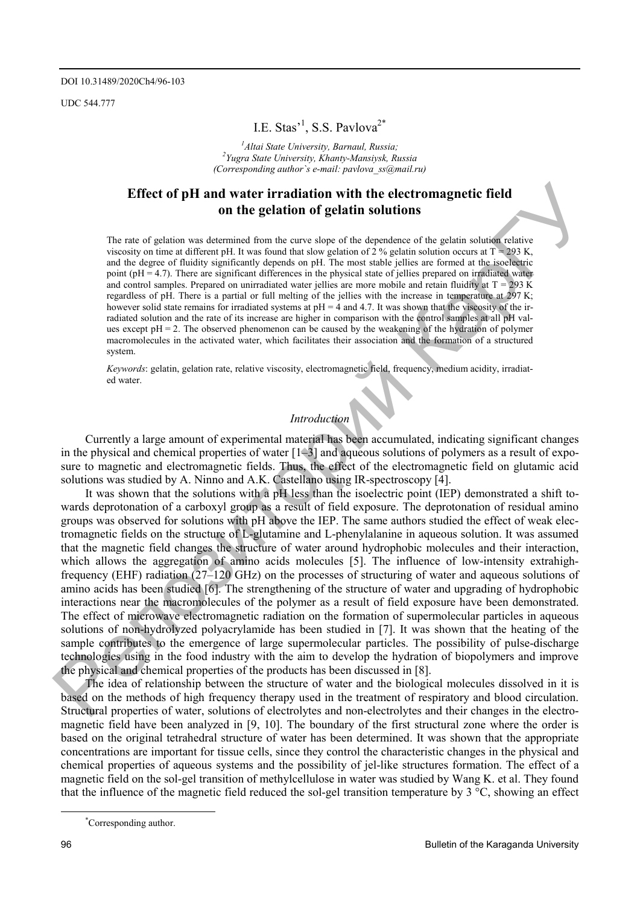UDC 544.777

# I.E. Stas'<sup>1</sup>, S.S. Pavlova<sup>2\*</sup>

<sup>1</sup> *Altai State University, Barnaul, Russia;* <sup>2</sup> *Yuona State University, Khanty Mansiyek, Barnawi Yugra State University, Khanty-Mansiysk, Russia (Corresponding author`s e-mail: pavlova\_ss@mail.ru)* 

## **Effect of pH and water irradiation with the electromagnetic field on the gelation of gelatin solutions**

The rate of gelation was determined from the curve slope of the dependence of the gelatin solution relative viscosity on time at different pH. It was found that slow gelation of 2 % gelatin solution occurs at  $T = 293$  K, and the degree of fluidity significantly depends on рН. The most stable jellies are formed at the isoelectric point (pH = 4.7). There are significant differences in the physical state of jellies prepared on irradiated water and control samples. Prepared on unirradiated water jellies are more mobile and retain fluidity at  $T = 293$  K regardless of рН. There is a partial or full melting of the jellies with the increase in temperature at 297 K; however solid state remains for irradiated systems at  $pH = 4$  and 4.7. It was shown that the viscosity of the irradiated solution and the rate of its increase are higher in comparison with the control samples at all pH values except рН = 2. The observed phenomenon can be caused by the weakening of the hydration of polymer macromolecules in the activated water, which facilitates their association and the formation of a structured system.

*Keywords*: gelatin, gelation rate, relative viscosity, electromagnetic field, frequency, medium acidity, irradiated water.

# *Introduction*

Currently a large amount of experimental material has been accumulated, indicating significant changes in the physical and chemical properties of water [1–3] and aqueous solutions of polymers as a result of exposure to magnetic and electromagnetic fields. Thus, the effect of the electromagnetic field on glutamic acid solutions was studied by A. Ninno and A.K. Castellano using IR-spectroscopy [4].

**Effect of pH and water irradiation with the electromagnetic field<br>
De nue of gelation son the gelation of gelatin solutions<br>
The two distributions from the same sign of the distribution of the proposition of the same sig** It was shown that the solutions with a pH less than the isoelectric point (IEP) demonstrated a shift towards deprotonation of a carboxyl group as a result of field exposure. The deprotonation of residual amino groups was observed for solutions with pH above the IEP. The same authors studied the effect of weak electromagnetic fields on the structure of L-glutamine and L-phenylalanine in aqueous solution. It was assumed that the magnetic field changes the structure of water around hydrophobic molecules and their interaction, which allows the aggregation of amino acids molecules [5]. The influence of low-intensity extrahighfrequency (EHF) radiation (27–120 GHz) on the processes of structuring of water and aqueous solutions of amino acids has been studied [6]. The strengthening of the structure of water and upgrading of hydrophobic interactions near the macromolecules of the polymer as a result of field exposure have been demonstrated. The effect of microwave electromagnetic radiation on the formation of supermolecular particles in aqueous solutions of non-hydrolyzed polyacrylamide has been studied in [7]. It was shown that the heating of the sample contributes to the emergence of large supermolecular particles. The possibility of pulse-discharge technologies using in the food industry with the aim to develop the hydration of biopolymers and improve the physical and chemical properties of the products has been discussed in [8].

The idea of relationship between the structure of water and the biological molecules dissolved in it is based on the methods of high frequency therapy used in the treatment of respiratory and blood circulation. Structural properties of water, solutions of electrolytes and non-electrolytes and their changes in the electromagnetic field have been analyzed in [9, 10]. The boundary of the first structural zone where the order is based on the original tetrahedral structure of water has been determined. It was shown that the appropriate concentrations are important for tissue cells, since they control the characteristic changes in the physical and chemical properties of aqueous systems and the possibility of jel-like structures formation. The effect of a magnetic field on the sol-gel transition of methylcellulose in water was studied by Wang K. et al. They found that the influence of the magnetic field reduced the sol-gel transition temperature by 3 °C, showing an effect

\*

Corresponding author.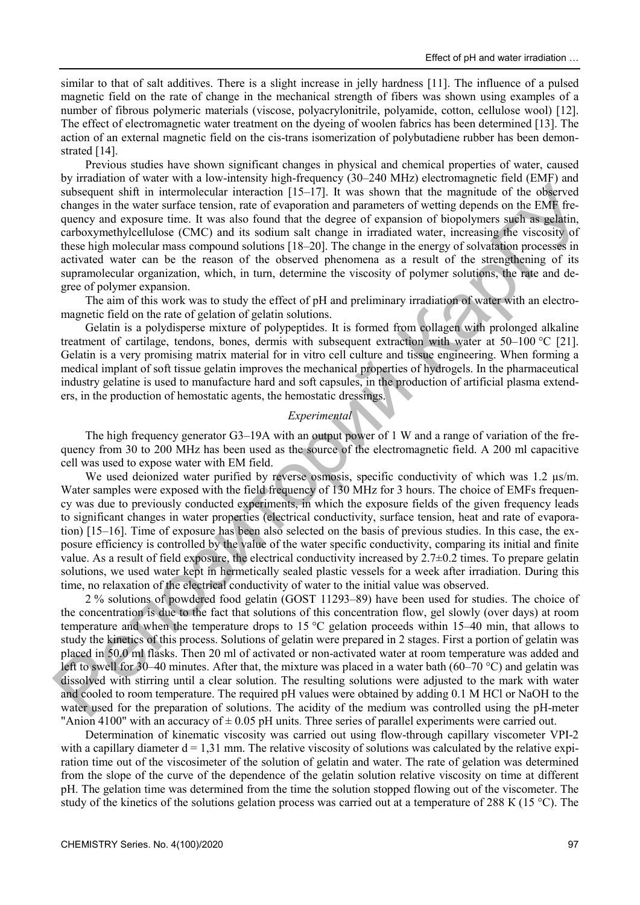similar to that of salt additives. There is a slight increase in jelly hardness [11]. The influence of a pulsed magnetic field on the rate of change in the mechanical strength of fibers was shown using examples of a number of fibrous polymeric materials (viscose, polyacrylonitrile, polyamide, cotton, cellulose wool) [12]. The effect of electromagnetic water treatment on the dyeing of woolen fabrics has been determined [13]. The action of an external magnetic field on the cis-trans isomerization of polybutadiene rubber has been demonstrated [14].

Previous studies have shown significant changes in physical and chemical properties of water, caused by irradiation of water with a low-intensity high-frequency (30–240 MHz) electromagnetic field (EMF) and subsequent shift in intermolecular interaction [15–17]. It was shown that the magnitude of the observed changes in the water surface tension, rate of evaporation and parameters of wetting depends on the EMF frequency and exposure time. It was also found that the degree of expansion of biopolymers such as gelatin, carboxymethylcellulose (CMC) and its sodium salt change in irradiated water, increasing the viscosity of these high molecular mass compound solutions [18–20]. The change in the energy of solvatation processes in activated water can be the reason of the observed phenomena as a result of the strengthening of its supramolecular organization, which, in turn, determine the viscosity of polymer solutions, the rate and degree of polymer expansion.

The aim of this work was to study the effect of pH and preliminary irradiation of water with an electromagnetic field on the rate of gelation of gelatin solutions.

Gelatin is a polydisperse mixture of polypeptides. It is formed from collagen with prolonged alkaline treatment of cartilage, tendons, bones, dermis with subsequent extraction with water at 50–100 °С [21]. Gelatin is a very promising matrix material for in vitro cell culture and tissue engineering. When forming a medical implant of soft tissue gelatin improves the mechanical properties of hydrogels. In the pharmaceutical industry gelatine is used to manufacture hard and soft capsules, in the production of artificial plasma extenders, in the production of hemostatic agents, the hemostatic dressings.

#### *Experimental*

The high frequency generator G3–19A with an output power of 1 W and a range of variation of the frequency from 30 to 200 MHz has been used as the source of the electromagnetic field. A 200 ml capacitive cell was used to expose water with EM field.

We used deionized water purified by reverse osmosis, specific conductivity of which was 1.2  $\mu$ s/m. Water samples were exposed with the field frequency of 130 MHz for 3 hours. The choice of EMFs frequency was due to previously conducted experiments, in which the exposure fields of the given frequency leads to significant changes in water properties (electrical conductivity, surface tension, heat and rate of evaporation) [15–16]. Time of exposure has been also selected on the basis of previous studies. In this case, the exposure efficiency is controlled by the value of the water specific conductivity, comparing its initial and finite value. As a result of field exposure, the electrical conductivity increased by  $2.7\pm0.2$  times. To prepare gelatin solutions, we used water kept in hermetically sealed plastic vessels for a week after irradiation. During this time, no relaxation of the electrical conductivity of water to the initial value was observed.

subsequent shift in internaleabili interaction (115.171) two shown that the magnitude of the objecture changes in the value of the objecture) comparison of highedynamics of the objecture) and experimental changes in the v 2 % solutions of powdered food gelatin (GOST 11293–89) have been used for studies. The choice of the concentration is due to the fact that solutions of this concentration flow, gel slowly (over days) at room temperature and when the temperature drops to 15 °C gelation proceeds within 15–40 min, that allows to study the kinetics of this process. Solutions of gelatin were prepared in 2 stages. First a portion of gelatin was placed in 50.0 ml flasks. Then 20 ml of activated or non-activated water at room temperature was added and left to swell for 30–40 minutes. After that, the mixture was placed in a water bath (60–70 °C) and gelatin was dissolved with stirring until a clear solution. The resulting solutions were adjusted to the mark with water and cooled to room temperature. The required pH values were obtained by adding 0.1 M HCl or NaOH to the water used for the preparation of solutions. The acidity of the medium was controlled using the pH-meter "Anion 4100" with an accuracy of  $\pm$  0.05 pH units. Three series of parallel experiments were carried out.

Determination of kinematic viscosity was carried out using flow-through capillary viscometer VPI-2 with a capillary diameter  $d = 1.31$  mm. The relative viscosity of solutions was calculated by the relative expiration time out of the viscosimeter of the solution of gelatin and water. The rate of gelation was determined from the slope of the curve of the dependence of the gelatin solution relative viscosity on time at different pH. The gelation time was determined from the time the solution stopped flowing out of the viscometer. The study of the kinetics of the solutions gelation process was carried out at a temperature of 288 K (15 °C). The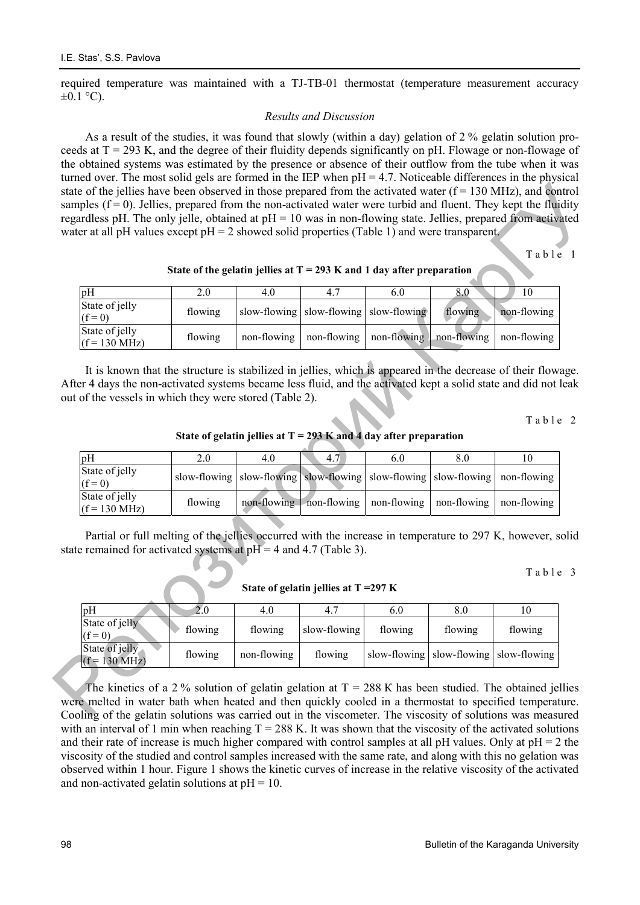required temperature was maintained with a TJ-TB-01 thermostat (temperature measurement accuracy  $\pm 0.1$  °C).

### *Results and Discussion*

As a result of the studies, it was found that slowly (within a day) gelation of 2 % gelatin solution proceeds at  $T = 293$  K, and the degree of their fluidity depends significantly on pH. Flowage or non-flowage of the obtained systems was estimated by the presence or absence of their outflow from the tube when it was turned over. The most solid gels are formed in the IEP when  $pH = 4.7$ . Noticeable differences in the physical state of the jellies have been observed in those prepared from the activated water  $(f = 130 \text{ MHz})$ , and control samples  $(f = 0)$ . Jellies, prepared from the non-activated water were turbid and fluent. They kept the fluidity regardless pH. The only jelle, obtained at  $pH = 10$  was in non-flowing state. Jellies, prepared from activated water at all pH values except pH = 2 showed solid properties (Table 1) and were transparent.

| pH                                        |         | 4.0         |             | 6.0                                        | 8.0         | 10          |
|-------------------------------------------|---------|-------------|-------------|--------------------------------------------|-------------|-------------|
| State of jelly<br>$(f = 0)$               | flowing |             |             | slow-flowing   slow-flowing   slow-flowing | flowing     | non-flowing |
| State of jelly<br>$(f = 130 \text{ MHz})$ | flowing | non-flowing | non-flowing | non-flowing                                | non-flowing | non-flowing |

#### **State of the gelatin jellies at T = 293 K and 1 day after preparation**

|                                                                         | regardless pH. The only jelle, obtained at $pH = 10$ was in non-flowing state. Jellies, prepared from activated |                     |                     |                                         |                                  |                  | water at all pH values except $pH = 2$ showed solid properties (Table 1) and were transparent.                                                                                   |  |  |  |  |  |  |  |  |
|-------------------------------------------------------------------------|-----------------------------------------------------------------------------------------------------------------|---------------------|---------------------|-----------------------------------------|----------------------------------|------------------|----------------------------------------------------------------------------------------------------------------------------------------------------------------------------------|--|--|--|--|--|--|--|--|
| Table 1                                                                 |                                                                                                                 |                     |                     |                                         |                                  |                  |                                                                                                                                                                                  |  |  |  |  |  |  |  |  |
| State of the gelatin jellies at $T = 293$ K and 1 day after preparation |                                                                                                                 |                     |                     |                                         |                                  |                  |                                                                                                                                                                                  |  |  |  |  |  |  |  |  |
|                                                                         | 10                                                                                                              | 8.0                 | 6.0                 | 4.7                                     | 4.0                              | 2.0              | pH                                                                                                                                                                               |  |  |  |  |  |  |  |  |
|                                                                         | non-flowing                                                                                                     | flowing             | slow-flowing        | slow-flowing                            | slow-flowing                     | flowing          | State of jelly<br>$(f = 0)$                                                                                                                                                      |  |  |  |  |  |  |  |  |
|                                                                         | non-flowing                                                                                                     | non-flowing         | non-flowing         | non-flowing                             | non-flowing                      | flowing          | State of jelly<br>$(f = 130 \text{ MHz})$                                                                                                                                        |  |  |  |  |  |  |  |  |
|                                                                         |                                                                                                                 |                     |                     |                                         |                                  |                  | Table 2<br>State of gelatin jellies at $T = 293$ K and 4 day after preparation                                                                                                   |  |  |  |  |  |  |  |  |
|                                                                         |                                                                                                                 |                     |                     |                                         |                                  |                  |                                                                                                                                                                                  |  |  |  |  |  |  |  |  |
|                                                                         |                                                                                                                 |                     |                     |                                         |                                  |                  |                                                                                                                                                                                  |  |  |  |  |  |  |  |  |
|                                                                         | 10<br>non-flowing                                                                                               | 8.0<br>slow-flowing | 6.0<br>slow-flowing | 4.7<br>slow-flowing                     | 4.0<br>slow-flowing slow-flowing | 2.0              | pH<br>State of jelly                                                                                                                                                             |  |  |  |  |  |  |  |  |
|                                                                         | non-flowing                                                                                                     | non-flowing         | non-flowing         | non-flowing non-flowing                 |                                  | flowing          | $(f = 0)$<br>State of jelly<br>$(f = 130 \text{ MHz})$                                                                                                                           |  |  |  |  |  |  |  |  |
|                                                                         |                                                                                                                 |                     |                     |                                         |                                  |                  | Partial or full melting of the jellies occurred with the increase in temperature to 297 K, however, solid<br>state remained for activated systems at $pH = 4$ and 4.7 (Table 3). |  |  |  |  |  |  |  |  |
| Table 3                                                                 |                                                                                                                 |                     |                     | State of gelatin jellies at $T = 297$ K |                                  |                  |                                                                                                                                                                                  |  |  |  |  |  |  |  |  |
|                                                                         | 10                                                                                                              | $\overline{8.0}$    | 6.0                 | 4.7                                     | $\overline{4.0}$                 | $\overline{2.0}$ | pH                                                                                                                                                                               |  |  |  |  |  |  |  |  |
|                                                                         | flowing                                                                                                         | flowing             | flowing             | slow-flowing                            | flowing                          | flowing          | State of jelly<br>$(f=0)$<br>State of jelly                                                                                                                                      |  |  |  |  |  |  |  |  |

| pH                                        |         | 4.0         |              | 6.0     | 8.0                                        |         |
|-------------------------------------------|---------|-------------|--------------|---------|--------------------------------------------|---------|
| State of jelly<br>$(f = 0)$               | flowing | flowing     | slow-flowing | flowing | flowing                                    | flowing |
| State of jelly<br>$(f = 130 \text{ MHz})$ | flowing | non-flowing | flowing      |         | slow-flowing   slow-flowing   slow-flowing |         |

The kinetics of a 2 % solution of gelatin gelation at  $T = 288$  K has been studied. The obtained jellies were melted in water bath when heated and then quickly cooled in a thermostat to specified temperature. Cooling of the gelatin solutions was carried out in the viscometer. The viscosity of solutions was measured with an interval of 1 min when reaching  $T = 288$  K. It was shown that the viscosity of the activated solutions and their rate of increase is much higher compared with control samples at all pH values. Only at  $pH = 2$  the viscosity of the studied and control samples increased with the same rate, and along with this no gelation was observed within 1 hour. Figure 1 shows the kinetic curves of increase in the relative viscosity of the activated and non-activated gelatin solutions at  $pH = 10$ .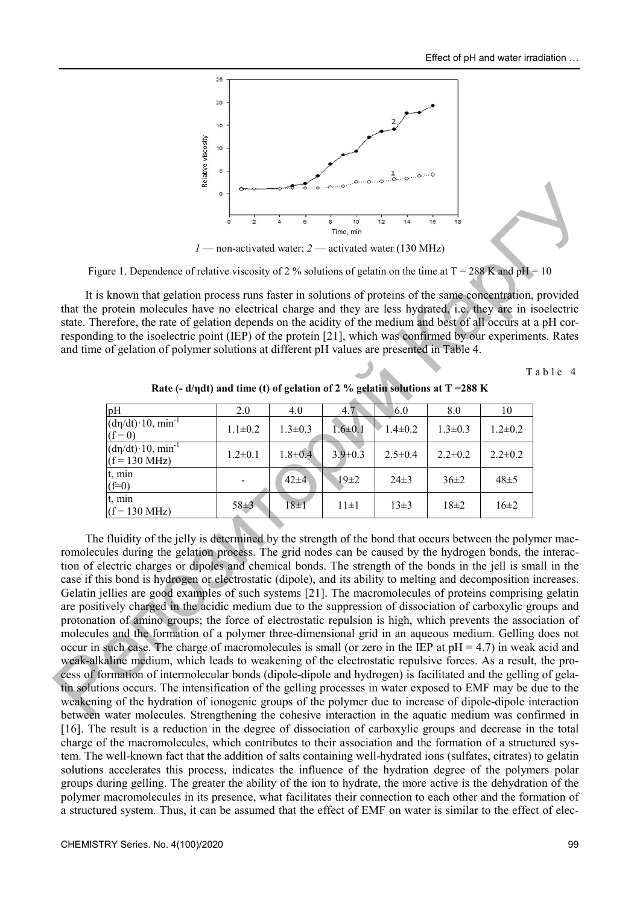

*1* — non-activated water; *2* — activated water (130 MHz)

Figure 1. Dependence of relative viscosity of 2 % solutions of gelatin on the time at  $T = 288$  K and pH = 10

It is known that gelation process runs faster in solutions of proteins of the same concentration, provided that the protein molecules have no electrical charge and they are less hydrated, i.e. they are in isoelectric state. Therefore, the rate of gelation depends on the acidity of the medium and best of all occurs at a pH corresponding to the isoelectric point (IEP) of the protein [21], which was confirmed by our experiments. Rates and time of gelation of polymer solutions at different pH values are presented in Table 4.

Table 4

| pH                                                            | 2.0           | 4.0           | 4.7           | 6.0           | 8.0           | 10            |
|---------------------------------------------------------------|---------------|---------------|---------------|---------------|---------------|---------------|
| $(d\eta/dt) \cdot 10$ , min <sup>-1</sup><br>$(f = 0)$        | $1.1 \pm 0.2$ | $1.3 \pm 0.3$ | $1.6 \pm 0.1$ | $1.4\pm0.2$   | $1.3 \pm 0.3$ | $1.2 \pm 0.2$ |
| $(d\eta/dt)$ 10, min <sup>-1</sup><br>$(f = 130 \text{ MHz})$ | $1.2 \pm 0.1$ | $1.8 + 0.4$   | $3.9 \pm 0.3$ | $2.5 \pm 0.4$ | $2.2 \pm 0.2$ | $2.2 \pm 0.2$ |
| t, min<br>$(f=0)$                                             |               | $42 + 4$      | $19\pm 2$     | $24\pm3$      | $36\pm2$      | $48 \pm 5$    |
| t, min<br>$(f = 130 \text{ MHz})$                             | $58 \pm 3$    | $18\pm1$      | $11\pm1$      | $13\pm3$      | $18\pm 2$     | $16\pm2$      |

**Rate (- d/ηdt) and time (t) of gelation of 2 % gelatin solutions at T =288 K** 

<sup>2</sup><br> **Example 1.** Dependence of relative viscosity of 2 % solutions of periodic visitorial of the interesting of periodic visitorial of the state of periodic visitorial of the state of periodic of periodic contents of p The fluidity of the jelly is determined by the strength of the bond that occurs between the polymer macromolecules during the gelation process. The grid nodes can be caused by the hydrogen bonds, the interaction of electric charges or dipoles and chemical bonds. The strength of the bonds in the jell is small in the case if this bond is hydrogen or electrostatic (dipole), and its ability to melting and decomposition increases. Gelatin jellies are good examples of such systems [21]. The macromolecules of proteins comprising gelatin are positively charged in the acidic medium due to the suppression of dissociation of carboxylic groups and protonation of amino groups; the force of electrostatic repulsion is high, which prevents the association of molecules and the formation of a polymer three-dimensional grid in an aqueous medium. Gelling does not occur in such case. The charge of macromolecules is small (or zero in the IEP at  $pH = 4.7$ ) in weak acid and weak-alkaline medium, which leads to weakening of the electrostatic repulsive forces. As a result, the process of formation of intermolecular bonds (dipole-dipole and hydrogen) is facilitated and the gelling of gelatin solutions occurs. The intensification of the gelling processes in water exposed to EMF may be due to the weakening of the hydration of ionogenic groups of the polymer due to increase of dipole-dipole interaction between water molecules. Strengthening the cohesive interaction in the aquatic medium was confirmed in [16]. The result is a reduction in the degree of dissociation of carboxylic groups and decrease in the total charge of the macromolecules, which contributes to their association and the formation of a structured system. The well-known fact that the addition of salts containing well-hydrated ions (sulfates, citrates) to gelatin solutions accelerates this process, indicates the influence of the hydration degree of the polymers polar groups during gelling. The greater the ability of the ion to hydrate, the more active is the dehydration of the polymer macromolecules in its presence, what facilitates their connection to each other and the formation of a structured system. Thus, it can be assumed that the effect of EMF on water is similar to the effect of elec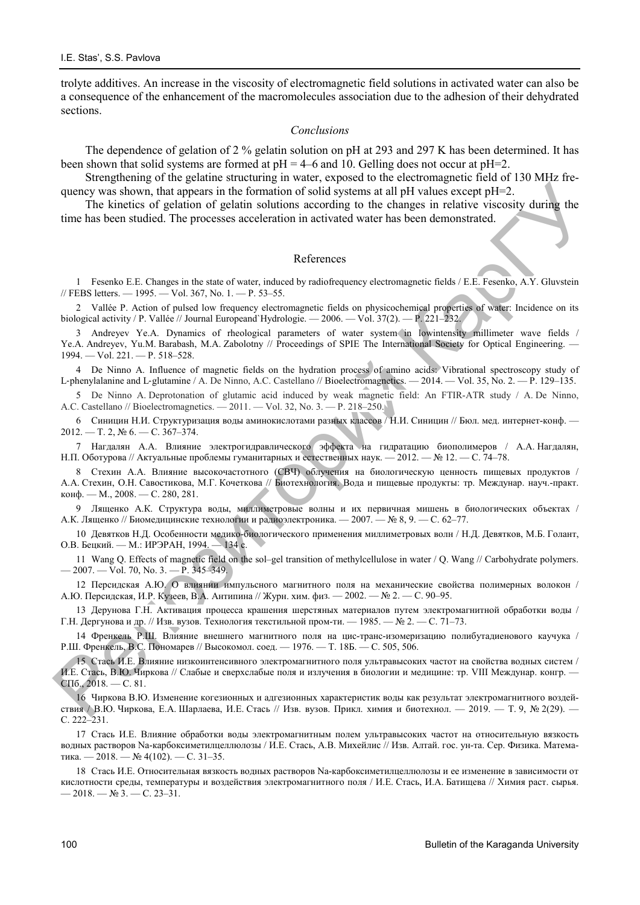trolyte additives. An increase in the viscosity of electromagnetic field solutions in activated water can also be a consequence of the enhancement of the macromolecules association due to the adhesion of their dehydrated sections.

#### *Conclusions*

The dependence of gelation of 2 % gelatin solution on pH at 293 and 297 K has been determined. It has been shown that solid systems are formed at pH = 4–6 and 10. Gelling does not occur at pH=2.

Strengthening of the gelatine structuring in water, exposed to the electromagnetic field of 130 MHz frequency was shown, that appears in the formation of solid systems at all pH values except pH=2.

The kinetics of gelation of gelatin solutions according to the changes in relative viscosity during the time has been studied. The processes acceleration in activated water has been demonstrated.

#### References

1 Fesenko E.E. Changes in the state of water, induced by radiofrequency electromagnetic fields / E.E. Fesenko, A.Y. Gluvstein // FEBS letters. — 1995. — Vol. 367, No. 1. — P. 53–55.

2 Vallée P. Action of pulsed low frequency electromagnetic fields on physicochemical properties of water: Incidence оn its biological activity / P. Vallée // Journal Europeand`Hydrologie. — 2006. — Vol. 37(2). — P. 221–232.

3 Andreyev Ye.A. Dynamics of rheological parameters of water system in lowintensity millimeter wave fields / Ye.A. Andreyev, Yu.M. Barabash, M.A. Zabolotny // Proceedings of SPIE The International Society for Optical Engineering. — 1994. — Vol. 221. — Р. 518–528.

4 De Ninno A. Influence of magnetic fields on the hydration process of amino acids: Vibrational spectroscopy study of L-phenylalanine and L-glutamine / A. De Ninno, A.C. Castellano // Bioelectromagnetics. — 2014. — Vol. 35, No. 2. — P. 129-135.

5 De Ninno A. Deprotonation of glutamic acid induced by weak magnetic field: An FTIR-ATR study / A. De Ninno, A.C. Castellano // Bioelectromagnetics. — 2011. — Vol. 32, No. 3. — Р. 218–250.

6 Синицин Н.И. Структуризация воды аминокислотами разных классов / Н.И. Синицин // Бюл. мед. интернет-конф. —  $2012. - T. 2, N<sub>2</sub> 6. - C. 367-374.$ 

7 Нагдалян А.А. Влияние электрогидравлического эффекта на гидратацию биополимеров / А.А. Нагдалян, Н.П. Оботурова // Актуальные проблемы гуманитарных и естественных наук. — 2012. — № 12. — C. 74–78.

quency solvey, that appears in the ferraids of reduction of solid systems at all pH values receptible of the consistent of the financial pH values in the financial pH values of the financial pH values in the basis of sign 8 Стехин А.А. Влияние высокочастотного (СВЧ) облучения на биологическую ценность пищевых продуктов / А.А. Стехин, О.Н. Савостикова, М.Г. Кочеткова // Биотехнология. Вода и пищевые продукты: тр. Междунар. науч.-практ. конф. — М., 2008. — С. 280, 281.

9 Лященко А.К. Структура воды, миллиметровые волны и их первичная мишень в биологических объектах / А.К. Лященко // Биомедицинские технологии и радиоэлектроника. — 2007. — № 8, 9. — С. 62–77.

10 Девятков Н.Д. Особенности медико-биологического применения миллиметровых волн / Н.Д. Девятков, М.Б. Голант, О.В. Бецкий. — М.: ИРЭРАН, 1994. — 134 с.

11 Wang Q. Effects of magnetic field on the sol–gel transition of methylcellulose in water / Q. Wang // Carbohydrate polymers. — 2007. — Vol. 70, No. 3. — P. 345–349.

12 Персидская А.Ю. О влиянии импульсного магнитного поля на механические свойства полимерных волокон / А.Ю. Персидская, И.Р. Кузеев, В.А. Антипина // Журн. хим. физ. — 2002. — № 2. — С. 90–95.

13 Дерунова Г.Н. Активация процесса крашения шерстяных материалов путем электромагнитной обработки воды / Г.Н. Дергунова и др. // Изв. вузов. Технология текстильной пром-ти. — 1985. — № 2. — С. 71–73.

14 Френкель Р.Ш. Влияние внешнего магнитного поля на цис-транс-изомеризацию полибутадиенового каучука / Р.Ш. Френкель, B.C. Пономарев // Высокомол. соед. — 1976. — Т. 18Б. — С. 505, 506.

15 Стась И.Е. Влияние низкоинтенсивного электромагнитного поля ультравысоких частот на свойства водных систем / И.Е. Стась, В.Ю. Чиркова // Слабые и сверхслабые поля и излучения в биологии и медицине: тр. VIII Междунар. конгр. — СПб., 2018. — С. 81.

16 Чиркова В.Ю. Изменение когезионных и адгезионных характеристик воды как результат электромагнитного воздействия / В.Ю. Чиркова, Е.А. Шарлаева, И.Е. Стась // Изв. вузов. Прикл. химия и биотехнол. — 2019. — Т. 9, № 2(29). — С. 222–231.

17 Стась И.Е. Влияние обработки воды электромагнитным полем ультравысоких частот на относительную вязкость водных растворов Na-карбоксиметилцеллюлозы / И.Е. Стась, А.В. Михейлис // Изв. Алтай. гос. ун-та. Сер. Физика. Математика. — 2018. — № 4(102). — С. 31–35.

18 Стась И.Е. Относительная вязкость водных растворов Na-карбоксиметилцеллюлозы и ее изменение в зависимости от кислотности среды, температуры и воздействия электромагнитного поля / И.Е. Стась, И.А. Батищева // Химия раст. сырья.  $-2018. - N_2$  3. - C. 23-31.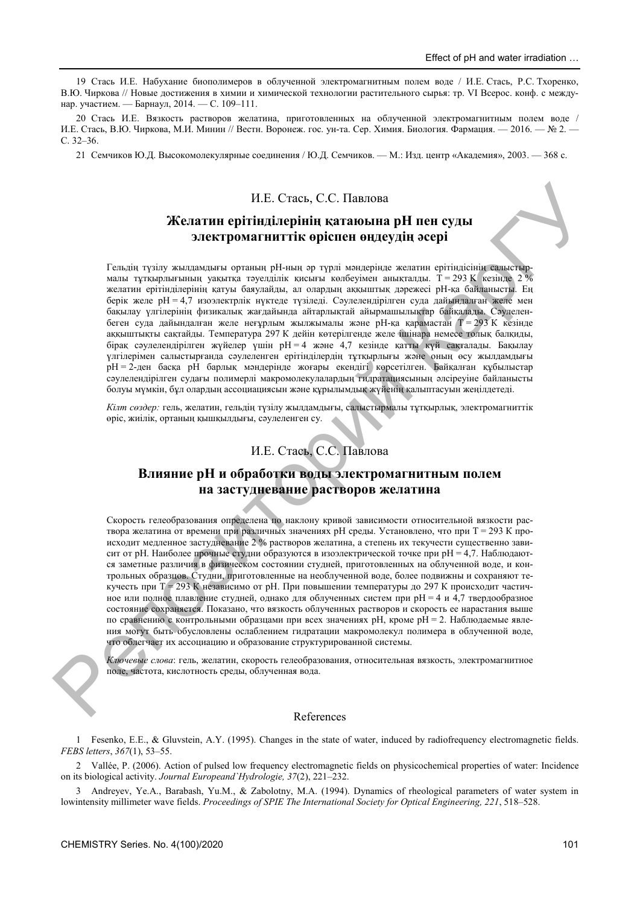19 Стась И.Е. Набухание биополимеров в облученной электромагнитным полем воде / И.Е. Стась, Р.С. Тхоренко, В.Ю. Чиркова // Новые достижения в химии и химической технологии растительного сырья: тр. VI Всерос. конф. с междунар. участием. — Барнаул, 2014. — С. 109–111.

20 Стась И.Е. Вязкость растворов желатина, приготовленных на облученной электромагнитным полем воде / И.Е. Стась, В.Ю. Чиркова, М.И. Минин // Вестн. Воронеж. гос. ун-та. Сер. Химия. Биология. Фармация. — 2016. — № 2. — С. 32–36.

21 Семчиков Ю.Д. Высокомолекулярные соединения / Ю.Д. Семчиков. — М.: Изд. центр «Академия», 2003. — 368 с.

### И.Е. Стась, С.С. Павлова

### **Желатин ерітінділерінің қатаюына рН пен суды электромагниттік өріспен өңдеудің əсері**

И.Е. Стась, С.С. Павлога<br>
Жел**атии ерітінділдерінің қатағылыпа р<br/>Н** пен еуды<br>
Тавиан түзін эльниканын өриниң түзін қатағылыға р<br/><br>
Непозиторий Тавиан түзін заналыған орнан түзін заналыға орнан түзін заналыған өлін Гельдің түзілу жылдамдығы ортаның рН-ның əр түрлі мəндерінде желатин ерітіндісінің салыстырмалы тұтқырлығының уақытқа тәуелділік қисығы көлбеуімен анықталды. Т = 293 K кезінде 2 % желатин ерітінділерінің қатуы баяулайды, ал олардың аққыштық дəрежесі рН-қа байланысты. Ең берік желе рН = 4,7 изоэлектрлік нүктеде түзіледі. Сəулелендірілген суда дайындалған желе мен бақылау үлгілерінің физикалық жағдайында айтарлықтай айырмашылықтар байқалады. Сəулеленбеген суда дайындалған желе неғұрлым жылжымалы және рН-қа қарамастан  $T = 293$  К кезінде аққыштықты сақтайды. Температура 297 К дейін көтерілгенде желе ішінара немесе толық балқиды, бірақ сəулелендірілген жүйелер үшін рН = 4 жəне 4,7 кезінде қатты күй сақталады. Бақылау үлгілерімен салыстырғанда сəулеленген ерітінділердің тұтқырлығы жəне оның өсу жылдамдығы рН = 2-ден басқа рН барлық мəндерінде жоғары екендігі көрсетілген. Байқалған құбылыстар сəулелендірілген судағы полимерлі макромолекулалардың гидратациясының əлсіреуіне байланысты болуы мүмкін, бұл олардың ассоциациясын жəне құрылымдық жүйенің қалыптасуын жеңілдетеді.

*Кілт сөздер:* гель, желатин, гельдің түзілу жылдамдығы, салыстырмалы тұтқырлық, электромагниттік өріс, жиілік, ортаның қышқылдығы, сəулеленген су.

# И.Е. Стась, С.С. Павлова

### **Влияние рН и обработки воды электромагнитным полем на застудневание растворов желатина**

Скорость гелеобразования определена по наклону кривой зависимости относительной вязкости раствора желатина от времени при различных значениях рН среды. Установлено, что при Т = 293 К происходит медленное застудневание 2 % растворов желатина, а степень их текучести существенно зависит от рН. Наиболее прочные студни образуются в изоэлектрической точке при рН = 4,7. Наблюдаются заметные различия в физическом состоянии студней, приготовленных на облученной воде, и контрольных образцов. Студни, приготовленные на необлученной воде, более подвижны и сохраняют текучесть при  $T = 293$  К независимо от рН. При повышении температуры до 297 К происходит частичное или полное плавление студней, однако для облученных систем при рН = 4 и 4,7 твердообразное состояние сохраняется. Показано, что вязкость облученных растворов и скорость ее нарастания выше по сравнению с контрольными образцами при всех значениях рН, кроме рН = 2. Наблюдаемые явления могут быть обусловлены ослаблением гидратации макромолекул полимера в облученной воде, что облегчает их ассоциацию и образование структурированной системы.

*Ключевые слова*: гель, желатин, скорость гелеобразования, относительная вязкость, электромагнитное поле, частота, кислотность среды, облученная вода.

#### References

1 Fesenko, E.E., & Gluvstein, A.Y. (1995). Changes in the state of water, induced by radiofrequency electromagnetic fields. *FEBS letters*, *367*(1), 53–55.

2 Vallée, P. (2006). Action of pulsed low frequency electromagnetic fields on physicochemical properties of water: Incidence оn its biological activity. *Journal Europeand`Hydrologie, 37*(2), 221–232.

3 Andreyev, Ye.A., Barabash, Yu.M., & Zabolotny, M.A. (1994). Dynamics of rheological parameters of water system in lowintensity millimeter wave fields. *Proceedings of SPIE The International Society for Optical Engineering, 221*, 518–528.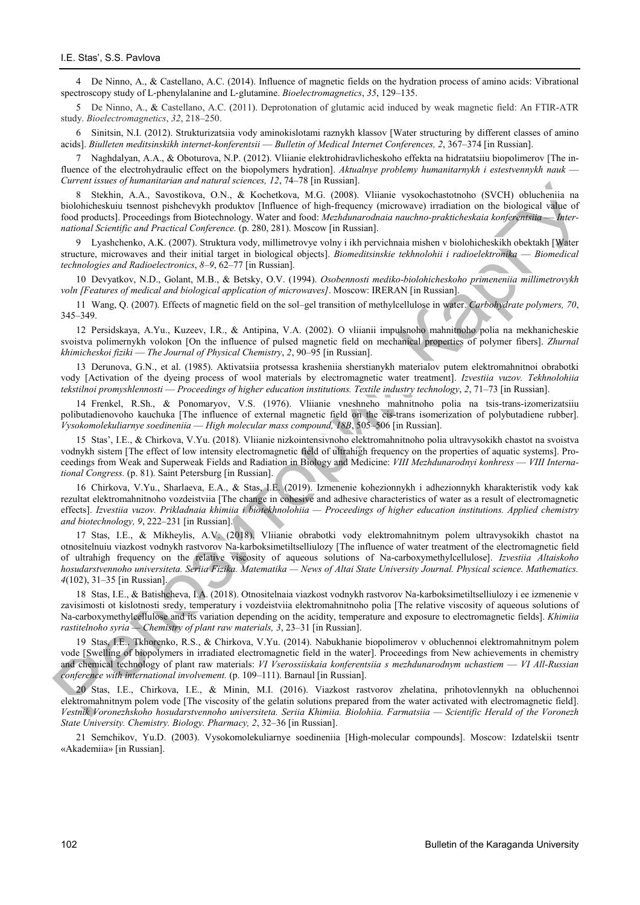4 De Ninno, A., & Castellano, A.C. (2014). Influence of magnetic fields on the hydration process of amino acids: Vibrational spectroscopy study of L‐phenylalanine and L‐glutamine. *Bioelectromagnetics*, *35*, 129–135.

5 De Ninno, A., & Castellano, A.C. (2011). Deprotonation of glutamic acid induced by weak magnetic field: An FTIR-ATR study. *Bioelectromagnetics*, *32*, 218–250.

6 Sinitsin, N.I. (2012). Strukturizatsiia vody aminokislotami raznykh klassov [Water structuring by different classes of amino acids]. *Biulleten meditsinskikh internet-konferentsii* — *Bulletin of Medical Internet Conferences, 2*, 367–374 [in Russian].

7 Naghdalyan, A.A., & Oboturova, N.P. (2012). Vliianie elektrohidravlicheskoho effekta na hidratatsiiu biopolimerov [The influence of the electrohydraulic effect on the biopolymers hydration]. *Aktualnye problemy humanitarnykh i estestvennykh nauk* — *Current issues of humanitarian and natural sciences, 12*, 74–78 [in Russian].

8 Stekhin, A.A., Savostikova, O.N., & Kochetkova, M.G. (2008). Vliianie vysokochastotnoho (SVCH) oblucheniia na biolohicheskuiu tsennost pishchevykh produktov [Influence of high-frequency (microwave) irradiation on the biological value of food products]. Proceedings from Biotechnology. Water and food: *Mezhdunarodnaia nauchno-prakticheskaia konferentsiia* — *International Scientific and Practical Conference.* (p. 280, 281). Moscow [in Russian].

9 Lyashchenko, A.K. (2007). Struktura vody, millimetrovye volny i ikh pervichnaia mishen v biolohicheskikh obektakh [Water structure, microwaves and their initial target in biological objects]. *Biomeditsinskie tekhnolohii i radioelektronika* — *Biomedical technologies and Radioelectronics*, *8–9*, 62–77 [in Russian].

10 Devyatkov, N.D., Golant, M.B., & Betsky, O.V. (1994). *Osobennosti mediko-biolohicheskoho primeneniia millimetrovykh voln [Features of medical and biological application of microwaves]*. Moscow: IRERAN [in Russian].

11 Wang, Q. (2007). Effects of magnetic field on the sol–gel transition of methylcellulose in water. *Carbohydrate polymers, 70*, 345–349.

12 Persidskaya, A.Yu., Kuzeev, I.R., & Antipina, V.A. (2002). O vliianii impulsnoho mahnitnoho polia na mekhanicheskie svoistva polimernykh volokon [On the influence of pulsed magnetic field on mechanical properties of polymer fibers]. *Zhurnal khimicheskoi fiziki* — *The Journal of Physical Chemistry*, *2*, 90–95 [in Russian].

13 Derunova, G.N., et al. (1985). Aktivatsiia protsessa krasheniia sherstianykh materialov putem elektromahnitnoi obrabotki vody [Activation of the dyeing process of wool materials by electromagnetic water treatment]. *Izvestiia vuzov. Tekhnolohiia tekstilnoi promyshlennosti* — *Proceedings of higher education institutions. Textile industry technology*, *2*, 71–73 [in Russian].

14 Frenkel, R.Sh., & Ponomaryov, V.S. (1976). Vliianie vneshneho mahnitnoho polia na tsis-trans-izomerizatsiiu polibutadienovoho kauchuka [The influence of external magnetic field on the cis-trans isomerization of polybutadiene rubber]. *Vysokomolekuliarnye soedineniia* — *High molecular mass compound, 18B*, 505–506 [in Russian].

15 Stas', I.E., & Chirkova, V.Yu. (2018). Vliianie nizkointensivnoho elektromahnitnoho polia ultravysokikh chastot na svoistva vodnykh sistem [The effect of low intensity electromagnetic field of ultrahigh frequency on the properties of aquatic systems]. Proceedings from Weak and Superweak Fields and Radiation in Biology and Medicine: *VIII Mezhdunarodnyi konhress* — *VIII International Congress.* (p. 81). Saint Petersburg [in Russian].

16 Chirkova, V.Yu., Sharlaeva, E.A., & Stas, I.E. (2019). Izmenenie kohezionnykh i adhezionnykh kharakteristik vody kak rezultat elektromahnitnoho vozdeistviia [The change in cohesive and adhesive characteristics of water as a result of electromagnetic effects]. *Izvestiia vuzov. Prikladnaia khimiia i biotekhnolohiia — Proceedings of higher education institutions. Applied chemistry and biotechnology, 9*, 222–231 [in Russian].

2799 Space of phase and states and states and states and states and states and states and states and states and states and states and states and states and states and states and states and states and states and states a 17 Stas, I.E., & Mikheylis, A.V. (2018). Vliianie obrabotki vody elektromahnitnym polem ultravysokikh chastot na otnositelnuiu viazkost vodnykh rastvorov Na-karboksimetiltselliulozy [The influence of water treatment of the electromagnetic field of ultrahigh frequency on the relative viscosity of aqueous solutions of Na-carboxymethylcellulose]. *Izvestiia Altaiskoho hosudarstvennoho universiteta. Seriia Fizika. Matematika — News of Altai State University Journal. Physical science. Mathematics. 4*(102), 31–35 [in Russian].

18 Stas, I.E., & Batishcheva, I.A. (2018). Otnositelnaia viazkost vodnykh rastvorov Na-karboksimetiltselliulozy i ee izmenenie v zavisimosti ot kislotnosti sredy, temperatury i vozdeistviia elektromahnitnoho polia [The relative viscosity of aqueous solutions of Na-carboxymethylcellulose and its variation depending on the acidity, temperature and exposure to electromagnetic fields]. *Khimiia rastitelnoho syria — Chemistry of plant raw materials, 3*, 23–31 [in Russian].

19 Stas, I.E., Tkhorenko, R.S., & Chirkova, V.Yu. (2014). Nabukhanie biopolimerov v obluchennoi elektromahnitnym polem vode [Swelling of biopolymers in irradiated electromagnetic field in the water]. Proceedings from New achievements in chemistry and chemical technology of plant raw materials: *VI Vserossiiskaia konferentsiia s mezhdunarodnym uchastiem — VI All-Russian conference with international involvement.* (p. 109–111). Barnaul [in Russian].

20 Stas, I.E., Chirkova, I.E., & Minin, M.I. (2016). Viazkost rastvorov zhelatina, prihotovlennykh na obluchennoi elektromahnitnym polem vode [The viscosity of the gelatin solutions prepared from the water activated with electromagnetic field]. *Vestnik Voronezhskoho hosudarstvennoho universiteta. Seriia Khimiia. Biolohiia. Farmatsiia — Scientific Herald of the Voronezh State University. Chemistry. Biology. Pharmacy, 2*, 32–36 [in Russian].

21 Semchikov, Yu.D. (2003). Vysokomolekuliarnye soedineniia [High-molecular compounds]. Moscow: Izdatelskii tsentr «Akademiia» [in Russian].